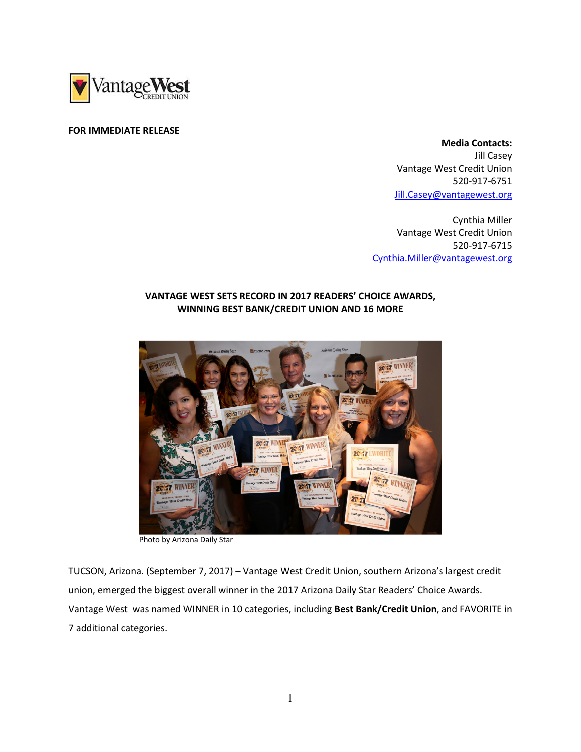

#### FOR IMMEDIATE RELEASE

 Media Contacts: Jill Casey Vantage West Credit Union 520-917-6751 Jill.Casey@vantagewest.org

Cynthia Miller Vantage West Credit Union 520-917-6715 Cynthia.Miller@vantagewest.org

# VANTAGE WEST SETS RECORD IN 2017 READERS' CHOICE AWARDS, WINNING BEST BANK/CREDIT UNION AND 16 MORE



Photo by Arizona Daily Star

TUCSON, Arizona. (September 7, 2017) – Vantage West Credit Union, southern Arizona's largest credit union, emerged the biggest overall winner in the 2017 Arizona Daily Star Readers' Choice Awards. Vantage West was named WINNER in 10 categories, including Best Bank/Credit Union, and FAVORITE in 7 additional categories.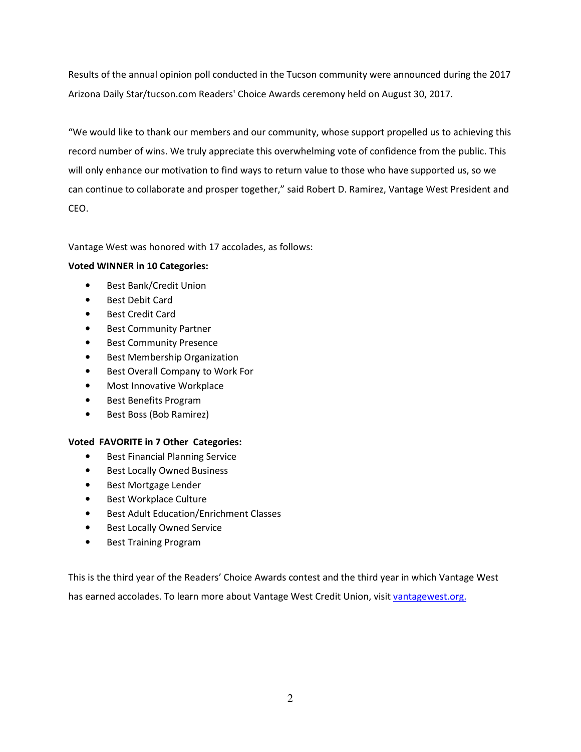Results of the annual opinion poll conducted in the Tucson community were announced during the 2017 Arizona Daily Star/tucson.com Readers' Choice Awards ceremony held on August 30, 2017.

"We would like to thank our members and our community, whose support propelled us to achieving this record number of wins. We truly appreciate this overwhelming vote of confidence from the public. This will only enhance our motivation to find ways to return value to those who have supported us, so we can continue to collaborate and prosper together," said Robert D. Ramirez, Vantage West President and CEO.

Vantage West was honored with 17 accolades, as follows:

### Voted WINNER in 10 Categories:

- Best Bank/Credit Union
- Best Debit Card
- Best Credit Card
- Best Community Partner
- Best Community Presence
- Best Membership Organization
- Best Overall Company to Work For
- Most Innovative Workplace
- Best Benefits Program
- Best Boss (Bob Ramirez)

## Voted FAVORITE in 7 Other Categories:

- Best Financial Planning Service
- Best Locally Owned Business
- Best Mortgage Lender
- Best Workplace Culture
- Best Adult Education/Enrichment Classes
- Best Locally Owned Service
- Best Training Program

This is the third year of the Readers' Choice Awards contest and the third year in which Vantage West has earned accolades. To learn more about Vantage West Credit Union, visit vantagewest.org.